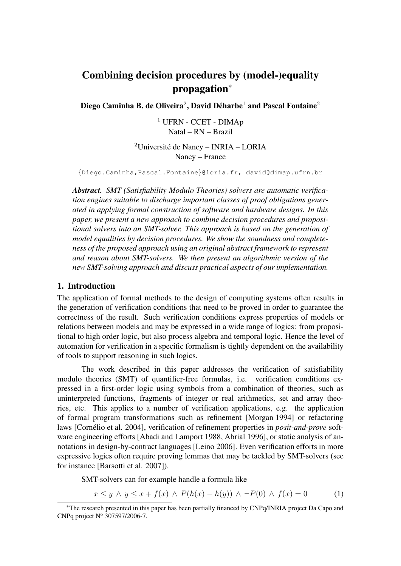# Combining decision procedures by (model-)equality propagation*<sup>∗</sup>*

Diego Caminha B. de Oliveira $^2$ , David Déharbe $^1$  and Pascal Fontaine $^2$ 

 $1$  UFRN - CCET - DIMAp Natal – RN – Brazil

 $2$ Université de Nancy – INRIA – LORIA Nancy – France

*{*Diego.Caminha,Pascal.Fontaine*}*@loria.fr, david@dimap.ufrn.br

*Abstract. SMT (Satisfiability Modulo Theories) solvers are automatic verification engines suitable to discharge important classes of proof obligations generated in applying formal construction of software and hardware designs. In this paper, we present a new approach to combine decision procedures and propositional solvers into an SMT-solver. This approach is based on the generation of model equalities by decision procedures. We show the soundness and completeness of the proposed approach using an original abstract framework to represent and reason about SMT-solvers. We then present an algorithmic version of the new SMT-solving approach and discuss practical aspects of our implementation.*

### 1. Introduction

The application of formal methods to the design of computing systems often results in the generation of verification conditions that need to be proved in order to guarantee the correctness of the result. Such verification conditions express properties of models or relations between models and may be expressed in a wide range of logics: from propositional to high order logic, but also process algebra and temporal logic. Hence the level of automation for verification in a specific formalism is tightly dependent on the availability of tools to support reasoning in such logics.

The work described in this paper addresses the verification of satisfiability modulo theories (SMT) of quantifier-free formulas, i.e. verification conditions expressed in a first-order logic using symbols from a combination of theories, such as uninterpreted functions, fragments of integer or real arithmetics, set and array theories, etc. This applies to a number of verification applications, e.g. the application of formal program transformations such as refinement [Morgan 1994] or refactoring laws [Cornélio et al. 2004], verification of refinement properties in *posit-and-prove* software engineering efforts [Abadi and Lamport 1988, Abrial 1996], or static analysis of annotations in design-by-contract languages [Leino 2006]. Even verification efforts in more expressive logics often require proving lemmas that may be tackled by SMT-solvers (see for instance [Barsotti et al. 2007]).

SMT-solvers can for example handle a formula like

$$
x \le y \land y \le x + f(x) \land P(h(x) - h(y)) \land \neg P(0) \land f(x) = 0 \tag{1}
$$

*<sup>∗</sup>*The research presented in this paper has been partially financed by CNPq/INRIA project Da Capo and CNPq project  $N^{\circ}$  307597/2006-7.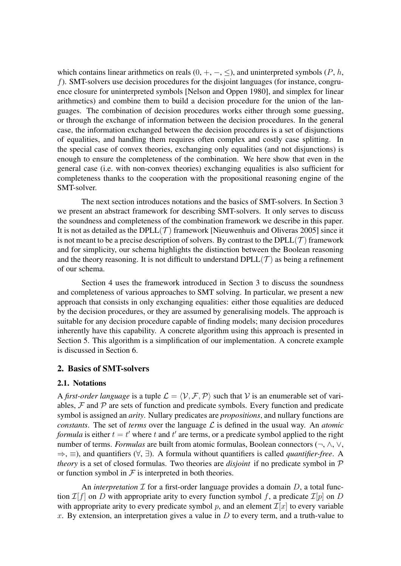which contains linear arithmetics on reals  $(0, +, -, <)$ , and uninterpreted symbols  $(P, h,$ *f*). SMT-solvers use decision procedures for the disjoint languages (for instance, congruence closure for uninterpreted symbols [Nelson and Oppen 1980], and simplex for linear arithmetics) and combine them to build a decision procedure for the union of the languages. The combination of decision procedures works either through some guessing, or through the exchange of information between the decision procedures. In the general case, the information exchanged between the decision procedures is a set of disjunctions of equalities, and handling them requires often complex and costly case splitting. In the special case of convex theories, exchanging only equalities (and not disjunctions) is enough to ensure the completeness of the combination. We here show that even in the general case (i.e. with non-convex theories) exchanging equalities is also sufficient for completeness thanks to the cooperation with the propositional reasoning engine of the SMT-solver.

The next section introduces notations and the basics of SMT-solvers. In Section 3 we present an abstract framework for describing SMT-solvers. It only serves to discuss the soundness and completeness of the combination framework we describe in this paper. It is not as detailed as the DPLL $(\mathcal{T})$  framework [Nieuwenhuis and Oliveras 2005] since it is not meant to be a precise description of solvers. By contrast to the  $DPLL(\mathcal{T})$  framework and for simplicity, our schema highlights the distinction between the Boolean reasoning and the theory reasoning. It is not difficult to understand  $DPLL(\mathcal{T})$  as being a refinement of our schema.

Section 4 uses the framework introduced in Section 3 to discuss the soundness and completeness of various approaches to SMT solving. In particular, we present a new approach that consists in only exchanging equalities: either those equalities are deduced by the decision procedures, or they are assumed by generalising models. The approach is suitable for any decision procedure capable of finding models; many decision procedures inherently have this capability. A concrete algorithm using this approach is presented in Section 5. This algorithm is a simplification of our implementation. A concrete example is discussed in Section 6.

## 2. Basics of SMT-solvers

#### 2.1. Notations

A *first-order language* is a tuple  $\mathcal{L} = \langle \mathcal{V}, \mathcal{F}, \mathcal{P} \rangle$  such that  $\mathcal{V}$  is an enumerable set of variables,  $F$  and  $P$  are sets of function and predicate symbols. Every function and predicate symbol is assigned an *arity*. Nullary predicates are *propositions*, and nullary functions are *constants*. The set of *terms* over the language *L* is defined in the usual way. An *atomic formula* is either  $t = t'$  where  $t$  and  $t'$  are terms, or a predicate symbol applied to the right number of terms. *Formulas* are built from atomic formulas, Boolean connectors (*¬*, *∧*, *∨*, *⇒*, *≡*), and quantifiers (*∀*, *∃*). A formula without quantifiers is called *quantifier-free*. A *theory* is a set of closed formulas. Two theories are *disjoint* if no predicate symbol in *P* or function symbol in  $\mathcal F$  is interpreted in both theories.

An *interpretation*  $\mathcal I$  for a first-order language provides a domain  $D$ , a total function  $\mathcal{I}[f]$  on *D* with appropriate arity to every function symbol f, a predicate  $\mathcal{I}[p]$  on *D* with appropriate arity to every predicate symbol p, and an element  $\mathcal{I}[x]$  to every variable  $x$ . By extension, an interpretation gives a value in  $D$  to every term, and a truth-value to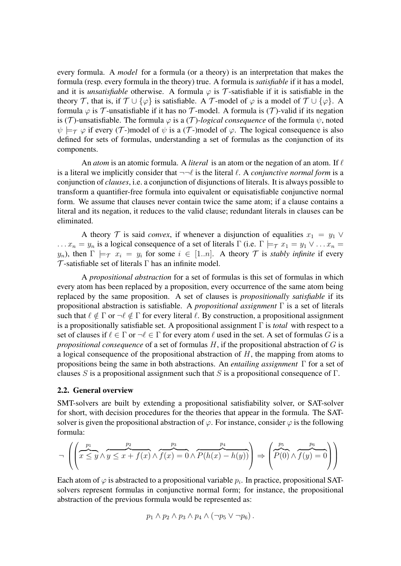every formula. A *model* for a formula (or a theory) is an interpretation that makes the formula (resp. every formula in the theory) true. A formula is *satisfiable* if it has a model, and it is *unsatisfiable* otherwise. A formula  $\varphi$  is  $\tau$ -satisfiable if it is satisfiable in the theory *T*, that is, if  $T \cup {\varphi}$  is satisfiable. A *T*-model of  $\varphi$  is a model of  $T \cup {\varphi}$ . A formula  $\varphi$  is  $\mathcal T$ -unsatisfiable if it has no  $\mathcal T$ -model. A formula is  $(\mathcal T)$ -valid if its negation is (*T*)-unsatisfiable. The formula  $\varphi$  is a (*T*)-*logical consequence* of the formula  $\psi$ , noted  $\psi \models_{\tau} \varphi$  if every (*T*-)model of  $\psi$  is a (*T*-)model of  $\varphi$ . The logical consequence is also defined for sets of formulas, understanding a set of formulas as the conjunction of its components.

An *atom* is an atomic formula. A *literal* is an atom or the negation of an atom. If *`* is a literal we implicitly consider that  $\neg\neg\ell$  is the literal  $\ell$ . A *conjunctive normal form* is a conjunction of *clauses*, i.e. a conjunction of disjunctions of literals. It is always possible to transform a quantifier-free formula into equivalent or equisatisfiable conjunctive normal form. We assume that clauses never contain twice the same atom; if a clause contains a literal and its negation, it reduces to the valid clause; redundant literals in clauses can be eliminated.

A theory *T* is said *convex*, if whenever a disjunction of equalities  $x_1 = y_1 \vee$  $x_n = y_n$  is a logical consequence of a set of literals  $\Gamma$  (i.e.  $\Gamma \models \tau x_1 = y_1 \vee \ldots x_n =$ *y<sub>n</sub>*), then  $\Gamma$   $\models$   $\tau$   $x_i = y_i$  for some  $i \in [1..n]$ . A theory  $\tau$  is *stably infinite* if every *T* -satisfiable set of literals Γ has an infinite model.

A *propositional abstraction* for a set of formulas is this set of formulas in which every atom has been replaced by a proposition, every occurrence of the same atom being replaced by the same proposition. A set of clauses is *propositionally satisfiable* if its propositional abstraction is satisfiable. A *propositional assignment* Γ is a set of literals such that  $\ell \notin \Gamma$  or  $\neg \ell \notin \Gamma$  for every literal  $\ell$ . By construction, a propositional assignment is a propositionally satisfiable set. A propositional assignment Γ is *total* with respect to a set of clauses if  $\ell \in \Gamma$  or  $\neg \ell \in \Gamma$  for every atom  $\ell$  used in the set. A set of formulas *G* is a *propositional consequence* of a set of formulas *H*, if the propositional abstraction of *G* is a logical consequence of the propositional abstraction of *H*, the mapping from atoms to propositions being the same in both abstractions. An *entailing assignment* Γ for a set of clauses *S* is a propositional assignment such that *S* is a propositional consequence of Γ.

#### 2.2. General overview

SMT-solvers are built by extending a propositional satisfiability solver, or SAT-solver for short, with decision procedures for the theories that appear in the formula. The SATsolver is given the propositional abstraction of  $\varphi$ . For instance, consider  $\varphi$  is the following formula:

$$
\neg \left( \left( \overbrace{x \leq y}^{p_1} \wedge \overbrace{y \leq x + f(x)}^{p_2} \wedge \overbrace{f(x) = 0}^{p_3} \wedge \overbrace{P(h(x) - h(y))}^{p_4} \right) \Rightarrow \left( \overbrace{P(0)}^{p_5} \wedge \overbrace{f(y) = 0}^{p_6} \right) \right)
$$

Each atom of  $\varphi$  is abstracted to a propositional variable  $p_i$ . In practice, propositional SATsolvers represent formulas in conjunctive normal form; for instance, the propositional abstraction of the previous formula would be represented as:

$$
p_1 \wedge p_2 \wedge p_3 \wedge p_4 \wedge (\neg p_5 \vee \neg p_6).
$$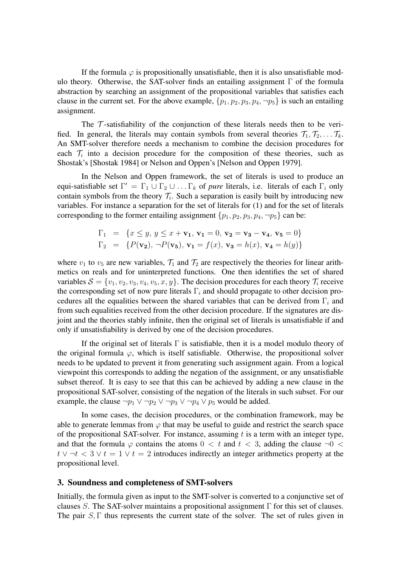If the formula  $\varphi$  is propositionally unsatisfiable, then it is also unsatisfiable modulo theory. Otherwise, the SAT-solver finds an entailing assignment  $\Gamma$  of the formula abstraction by searching an assignment of the propositional variables that satisfies each clause in the current set. For the above example,  $\{p_1, p_2, p_3, p_4, \neg p_5\}$  is such an entailing assignment.

The *T* -satisfiability of the conjunction of these literals needs then to be verified. In general, the literals may contain symbols from several theories  $\mathcal{T}_1, \mathcal{T}_2, \ldots, \mathcal{T}_k$ . An SMT-solver therefore needs a mechanism to combine the decision procedures for each  $\mathcal{T}_i$  into a decision procedure for the composition of these theories, such as Shostak's [Shostak 1984] or Nelson and Oppen's [Nelson and Oppen 1979].

In the Nelson and Oppen framework, the set of literals is used to produce an  $\text{equi-satisfiable set } Γ' = Γ_1 ∪ Γ_2 ∪ … Γ_k \text{ of } pure \text{ literals, i.e. literals of each Γ_i only}$ contain symbols from the theory  $\mathcal{T}_i$ . Such a separation is easily built by introducing new variables. For instance a separation for the set of literals for (1) and for the set of literals corresponding to the former entailing assignment  $\{p_1, p_2, p_3, p_4, \neg p_5\}$  can be:

$$
\Gamma_1 = \{x \le y, y \le x + \mathbf{v}_1, \mathbf{v}_1 = 0, \mathbf{v}_2 = \mathbf{v}_3 - \mathbf{v}_4, \mathbf{v}_5 = 0\}
$$
  
\n
$$
\Gamma_2 = \{P(\mathbf{v}_2), \neg P(\mathbf{v}_5), \mathbf{v}_1 = f(x), \mathbf{v}_3 = h(x), \mathbf{v}_4 = h(y)\}
$$

where  $v_1$  to  $v_5$  are new variables,  $\mathcal{T}_1$  and  $\mathcal{T}_2$  are respectively the theories for linear arithmetics on reals and for uninterpreted functions. One then identifies the set of shared variables  $S = \{v_1, v_2, v_3, v_4, v_5, x, y\}$ . The decision procedures for each theory  $\mathcal{T}_i$  receive the corresponding set of now pure literals Γ*<sup>i</sup>* and should propagate to other decision procedures all the equalities between the shared variables that can be derived from Γ*<sup>i</sup>* and from such equalities received from the other decision procedure. If the signatures are disjoint and the theories stably infinite, then the original set of literals is unsatisfiable if and only if unsatisfiability is derived by one of the decision procedures.

If the original set of literals  $\Gamma$  is satisfiable, then it is a model modulo theory of the original formula  $\varphi$ , which is itself satisfiable. Otherwise, the propositional solver needs to be updated to prevent it from generating such assignment again. From a logical viewpoint this corresponds to adding the negation of the assignment, or any unsatisfiable subset thereof. It is easy to see that this can be achieved by adding a new clause in the propositional SAT-solver, consisting of the negation of the literals in such subset. For our example, the clause  $\neg p_1 \lor \neg p_2 \lor \neg p_3 \lor \neg p_4 \lor p_5$  would be added.

In some cases, the decision procedures, or the combination framework, may be able to generate lemmas from  $\varphi$  that may be useful to guide and restrict the search space of the propositional SAT-solver. For instance, assuming *t* is a term with an integer type, and that the formula  $\varphi$  contains the atoms  $0 < t$  and  $t < 3$ , adding the clause  $\neg 0 <$  $t \vee \neg t < 3 \vee t = 1 \vee t = 2$  introduces indirectly an integer arithmetics property at the propositional level.

#### 3. Soundness and completeness of SMT-solvers

Initially, the formula given as input to the SMT-solver is converted to a conjunctive set of clauses *S*. The SAT-solver maintains a propositional assignment Γ for this set of clauses. The pair  $S$ ,  $\Gamma$  thus represents the current state of the solver. The set of rules given in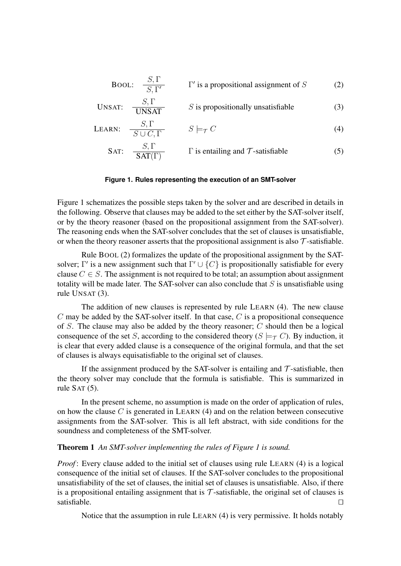**Bool:** 
$$
\frac{S, \Gamma}{S, \Gamma'}
$$
  $\Gamma'$  is a propositional assignment of S (2)

UNSAT: 
$$
\frac{S, \Gamma}{UNSAT}
$$
 S is propositionally unsatisfiable  
 $S, \Gamma$  S is

$$
\text{LEARN:} \quad \frac{S, 1}{S \cup C, \Gamma} \qquad S \models_{\mathcal{T}} C \tag{4}
$$

SAT: 
$$
\frac{S, \Gamma}{\text{SAT}(\Gamma)}
$$
  $\Gamma$  is entailing and  $\mathcal{T}$ -satisfiable (5)

#### **Figure 1. Rules representing the execution of an SMT-solver**

Figure 1 schematizes the possible steps taken by the solver and are described in details in the following. Observe that clauses may be added to the set either by the SAT-solver itself, or by the theory reasoner (based on the propositional assignment from the SAT-solver). The reasoning ends when the SAT-solver concludes that the set of clauses is unsatisfiable, or when the theory reasoner asserts that the propositional assignment is also *T* -satisfiable.

Rule BOOL (2) formalizes the update of the propositional assignment by the SATsolver; Γ' is a new assignment such that  $\Gamma' \cup \{C\}$  is propositionally satisfiable for every clause  $C \in S$ . The assignment is not required to be total; an assumption about assignment totality will be made later. The SAT-solver can also conclude that *S* is unsatisfiable using rule UNSAT (3).

The addition of new clauses is represented by rule LEARN (4). The new clause *C* may be added by the SAT-solver itself. In that case, *C* is a propositional consequence of *S*. The clause may also be added by the theory reasoner; *C* should then be a logical consequence of the set *S*, according to the considered theory ( $S \models_T C$ ). By induction, it is clear that every added clause is a consequence of the original formula, and that the set of clauses is always equisatisfiable to the original set of clauses.

If the assignment produced by the SAT-solver is entailing and  $\mathcal T$ -satisfiable, then the theory solver may conclude that the formula is satisfiable. This is summarized in rule SAT (5).

In the present scheme, no assumption is made on the order of application of rules, on how the clause *C* is generated in LEARN (4) and on the relation between consecutive assignments from the SAT-solver. This is all left abstract, with side conditions for the soundness and completeness of the SMT-solver.

#### Theorem 1 *An SMT-solver implementing the rules of Figure 1 is sound.*

*Proof*: Every clause added to the initial set of clauses using rule LEARN (4) is a logical consequence of the initial set of clauses. If the SAT-solver concludes to the propositional unsatisfiability of the set of clauses, the initial set of clauses is unsatisfiable. Also, if there is a propositional entailing assignment that is  $\mathcal T$ -satisfiable, the original set of clauses is satisfiable. satisfiable.  $\Box$ 

Notice that the assumption in rule LEARN (4) is very permissive. It holds notably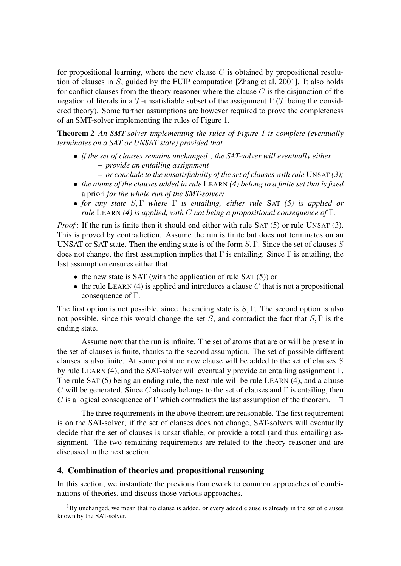for propositional learning, where the new clause *C* is obtained by propositional resolution of clauses in *S*, guided by the FUIP computation [Zhang et al. 2001]. It also holds for conflict clauses from the theory reasoner where the clause *C* is the disjunction of the negation of literals in a *T* -unsatisfiable subset of the assignment Γ (*T* being the considered theory). Some further assumptions are however required to prove the completeness of an SMT-solver implementing the rules of Figure 1.

Theorem 2 *An SMT-solver implementing the rules of Figure 1 is complete (eventually terminates on a SAT or UNSAT state) provided that*

- *if the set of clauses remains unchanged*<sup>1</sup>, the SAT-solver will eventually either – *provide an entailing assignment*
	- *or conclude to the unsatisfiability of the set of clauses with rule* UNSAT *(3);*
- *• the atoms of the clauses added in rule* LEARN *(4) belong to a finite set that is fixed* a priori *for the whole run of the SMT-solver;*
- *• for any state S,* Γ *where* Γ *is entailing, either rule* SAT *(5) is applied or rule* LEARN *(4) is applied, with C not being a propositional consequence of* Γ*.*

*Proof*: If the run is finite then it should end either with rule SAT (5) or rule UNSAT (3). This is proved by contradiction. Assume the run is finite but does not terminates on an UNSAT or SAT state. Then the ending state is of the form *S,* Γ. Since the set of clauses *S* does not change, the first assumption implies that  $\Gamma$  is entailing. Since  $\Gamma$  is entailing, the last assumption ensures either that

- the new state is SAT (with the application of rule SAT (5)) or
- the rule LEARN (4) is applied and introduces a clause C that is not a propositional consequence of Γ.

The first option is not possible, since the ending state is *S,* Γ. The second option is also not possible, since this would change the set *S*, and contradict the fact that *S,* Γ is the ending state.

Assume now that the run is infinite. The set of atoms that are or will be present in the set of clauses is finite, thanks to the second assumption. The set of possible different clauses is also finite. At some point no new clause will be added to the set of clauses *S* by rule LEARN (4), and the SAT-solver will eventually provide an entailing assignment Γ. The rule SAT (5) being an ending rule, the next rule will be rule LEARN (4), and a clause *C* will be generated. Since *C* already belongs to the set of clauses and Γ is entailing, then *C* is a logical consequence of  $\Gamma$  which contradicts the last assumption of the theorem.  $\Box$ 

The three requirements in the above theorem are reasonable. The first requirement is on the SAT-solver; if the set of clauses does not change, SAT-solvers will eventually decide that the set of clauses is unsatisfiable, or provide a total (and thus entailing) assignment. The two remaining requirements are related to the theory reasoner and are discussed in the next section.

## 4. Combination of theories and propositional reasoning

In this section, we instantiate the previous framework to common approaches of combinations of theories, and discuss those various approaches.

 ${}^{1}$ By unchanged, we mean that no clause is added, or every added clause is already in the set of clauses known by the SAT-solver.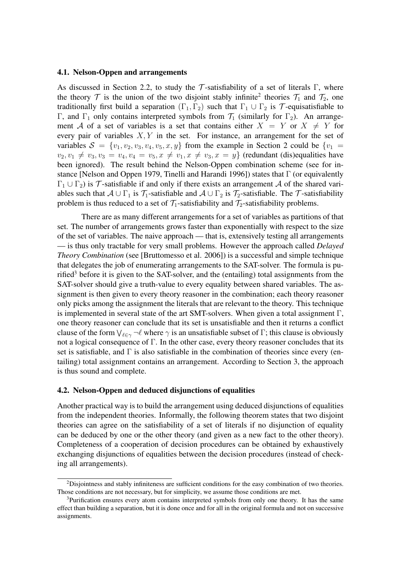#### 4.1. Nelson-Oppen and arrangements

As discussed in Section 2.2, to study the  $\mathcal T$ -satisfiability of a set of literals  $\Gamma$ , where the theory  $\mathcal T$  is the union of the two disjoint stably infinite<sup>2</sup> theories  $\mathcal T_1$  and  $\mathcal T_2$ , one traditionally first build a separation  $(\Gamma_1, \Gamma_2)$  such that  $\Gamma_1 \cup \Gamma_2$  is *T*-equisatisfiable to Γ, and Γ<sub>1</sub> only contains interpreted symbols from  $\mathcal{T}_1$  (similarly for Γ<sub>2</sub>). An arrangement *A* of a set of variables is a set that contains either  $X = Y$  or  $X \neq Y$  for every pair of variables *X, Y* in the set. For instance, an arrangement for the set of variables  $S = \{v_1, v_2, v_3, v_4, v_5, x, y\}$  from the example in Section 2 could be  $\{v_1 =$  $v_2, v_1 \neq v_3, v_3 = v_4, v_4 = v_5, x \neq v_1, x \neq v_3, x = y$  (redundant (dis)equalities have been ignored). The result behind the Nelson-Oppen combination scheme (see for instance [Nelson and Oppen 1979, Tinelli and Harandi 1996]) states that  $\Gamma$  (or equivalently  $\Gamma_1 \cup \Gamma_2$ ) is  $\mathcal T$ -satisfiable if and only if there exists an arrangement *A* of the shared variables such that  $A \cup \Gamma_1$  is  $\mathcal{T}_1$ -satisfiable and  $A \cup \Gamma_2$  is  $\mathcal{T}_2$ -satisfiable. The  $\mathcal{T}$ -satisfiability problem is thus reduced to a set of  $\mathcal{T}_1$ -satisfiability and  $\mathcal{T}_2$ -satisfiability problems.

There are as many different arrangements for a set of variables as partitions of that set. The number of arrangements grows faster than exponentially with respect to the size of the set of variables. The naive approach — that is, extensively testing all arrangements — is thus only tractable for very small problems. However the approach called *Delayed Theory Combination* (see [Bruttomesso et al. 2006]) is a successful and simple technique that delegates the job of enumerating arrangements to the SAT-solver. The formula is purified<sup>3</sup> before it is given to the SAT-solver, and the (entailing) total assignments from the SAT-solver should give a truth-value to every equality between shared variables. The assignment is then given to every theory reasoner in the combination; each theory reasoner only picks among the assignment the literals that are relevant to the theory. This technique is implemented in several state of the art SMT-solvers. When given a total assignment  $\Gamma$ , one theory reasoner can conclude that its set is unsatisfiable and then it returns a conflict clause of the form  $\vee_{\ell \in \gamma} \neg \ell$  where  $\gamma$  is an unsatisfiable subset of  $\Gamma$ ; this clause is obviously not a logical consequence of Γ. In the other case, every theory reasoner concludes that its set is satisfiable, and  $\Gamma$  is also satisfiable in the combination of theories since every (entailing) total assignment contains an arrangement. According to Section 3, the approach is thus sound and complete.

#### 4.2. Nelson-Oppen and deduced disjunctions of equalities

Another practical way is to build the arrangement using deduced disjunctions of equalities from the independent theories. Informally, the following theorem states that two disjoint theories can agree on the satisfiability of a set of literals if no disjunction of equality can be deduced by one or the other theory (and given as a new fact to the other theory). Completeness of a cooperation of decision procedures can be obtained by exhaustively exchanging disjunctions of equalities between the decision procedures (instead of checking all arrangements).

<sup>&</sup>lt;sup>2</sup>Disjointness and stably infiniteness are sufficient conditions for the easy combination of two theories. Those conditions are not necessary, but for simplicity, we assume those conditions are met.

<sup>&</sup>lt;sup>3</sup>Purification ensures every atom contains interpreted symbols from only one theory. It has the same effect than building a separation, but it is done once and for all in the original formula and not on successive assignments.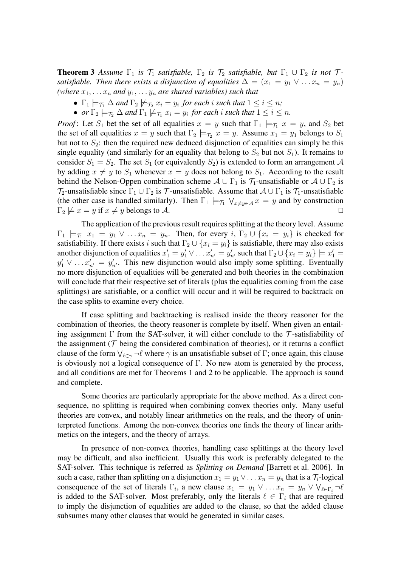**Theorem 3** Assume  $\Gamma_1$  *is*  $\mathcal{T}_1$  *satisfiable*,  $\Gamma_2$  *is*  $\mathcal{T}_2$  *satisfiable, but*  $\Gamma_1 \cup \Gamma_2$  *is not*  $\mathcal{T}_2$ *satisfiable. Then there exists a disjunction of equalities*  $\Delta = (x_1 = y_1 \vee \ldots x_n = y_n)$ *(where*  $x_1, \ldots x_n$  *and*  $y_1, \ldots y_n$  *are shared variables) such that* 

- $\Gamma_1 \models_{\tau_1} \Delta$  *and*  $\Gamma_2 \not\models_{\tau_2} x_i = y_i$  *for each i such that*  $1 \leq i \leq n$ ;
- *or*  $\Gamma_2 \models_{\mathcal{T}_2} \Delta$  *and*  $\Gamma_1 \not\models_{\mathcal{T}_1} x_i = y_i$  *for each i such that*  $1 \leq i \leq n$ .

*Proof*: Let  $S_1$  bet the set of all equalities  $x = y$  such that  $\Gamma_1 \models_{\tau_1} x = y$ , and  $S_2$  bet the set of all equalities  $x = y$  such that  $\Gamma_2 \models_{\tau_2} x = y$ . Assume  $x_1 = y_1$  belongs to  $S_1$ but not to  $S_2$ : then the required new deduced disjunction of equalities can simply be this single equality (and similarly for an equality that belong to  $S_2$  but not  $S_1$ ). It remains to consider  $S_1 = S_2$ . The set  $S_1$  (or equivalently  $S_2$ ) is extended to form an arrangement A by adding  $x \neq y$  to  $S_1$  whenever  $x = y$  does not belong to  $S_1$ . According to the result behind the Nelson-Oppen combination scheme  $A \cup \Gamma_1$  is  $\mathcal{T}_1$ -unsatisfiable or  $A \cup \Gamma_2$  is  $\mathcal{T}_2$ -unsatisfiable since  $\Gamma_1 \cup \Gamma_2$  is  $\mathcal{T}_1$ -unsatisfiable. Assume that  $\mathcal{A} \cup \Gamma_1$  is  $\mathcal{T}_1$ -unsatisfiable (the other case is handled similarly). Then  $\Gamma_1 \models \tau_1 \lor x \neq y \in A$  *x* = *y* and by construction  $\Gamma_2 \not\models x = y$  if  $x \neq y$  belongs to A.

The application of the previous result requires splitting at the theory level. Assume  $\Gamma_1 \models_{\tau_1} x_1 = y_1 \vee \ldots x_n = y_n$ . Then, for every *i*,  $\Gamma_2 \cup \{x_i = y_i\}$  is checked for satisfiability. If there exists *i* such that  $\Gamma_2 \cup \{x_i = y_i\}$  is satisfiable, there may also exists another disjunction of equalities  $x'_1 = y'_1 \vee \dots x'_{n'} = y'_{n'}$  such that  $\Gamma_2 \cup \{x_i = y_i\} \models x'_1 =$  $y'_1 \vee \ldots x'_{n'} = y'_{n'}$ . This new disjunction would also imply some splitting. Eventually no more disjunction of equalities will be generated and both theories in the combination will conclude that their respective set of literals (plus the equalities coming from the case splittings) are satisfiable, or a conflict will occur and it will be required to backtrack on the case splits to examine every choice.

If case splitting and backtracking is realised inside the theory reasoner for the combination of theories, the theory reasoner is complete by itself. When given an entailing assignment Γ from the SAT-solver, it will either conclude to the *T* -satisfiability of the assignment ( $\mathcal T$  being the considered combination of theories), or it returns a conflict clause of the form  $\bigvee_{\ell \in \gamma} \neg \ell$  where  $\gamma$  is an unsatisfiable subset of  $\Gamma$ ; once again, this clause is obviously not a logical consequence of  $\Gamma$ . No new atom is generated by the process, and all conditions are met for Theorems 1 and 2 to be applicable. The approach is sound and complete.

Some theories are particularly appropriate for the above method. As a direct consequence, no splitting is required when combining convex theories only. Many useful theories are convex, and notably linear arithmetics on the reals, and the theory of uninterpreted functions. Among the non-convex theories one finds the theory of linear arithmetics on the integers, and the theory of arrays.

In presence of non-convex theories, handling case splittings at the theory level may be difficult, and also inefficient. Usually this work is preferably delegated to the SAT-solver. This technique is referred as *Splitting on Demand* [Barrett et al. 2006]. In such a case, rather than splitting on a disjunction  $x_1 = y_1 \vee \ldots x_n = y_n$  that is a  $\mathcal{T}_i$ -logical consequence of the set of literals  $\Gamma_i$ , a new clause  $x_1 = y_1 \vee \ldots x_n = y_n \vee \bigvee_{\ell \in \Gamma_i} \neg \ell$ is added to the SAT-solver. Most preferably, only the literals  $\ell \in \Gamma_i$  that are required to imply the disjunction of equalities are added to the clause, so that the added clause subsumes many other clauses that would be generated in similar cases.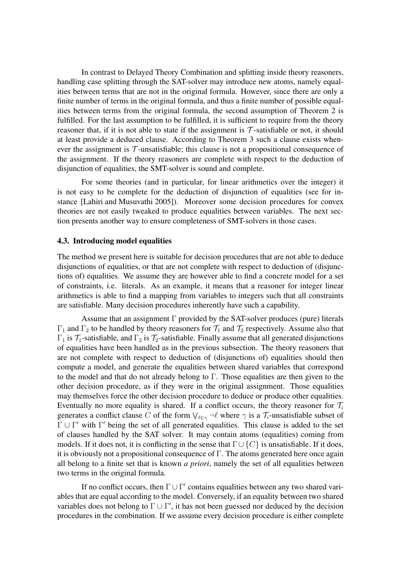In contrast to Delayed Theory Combination and splitting inside theory reasoners, handling case splitting through the SAT-solver may introduce new atoms, namely equalities between terms that are not in the original formula. However, since there are only a finite number of terms in the original formula, and thus a finite number of possible equalities between terms from the original formula, the second assumption of Theorem 2 is fulfilled. For the last assumption to be fulfilled, it is sufficient to require from the theory reasoner that, if it is not able to state if the assignment is  $\mathcal T$ -satisfiable or not, it should at least provide a deduced clause. According to Theorem 3 such a clause exists whenever the assignment is  $\mathcal T$ -unsatisfiable; this clause is not a propositional consequence of the assignment. If the theory reasoners are complete with respect to the deduction of disjunction of equalities, the SMT-solver is sound and complete.

For some theories (and in particular, for linear arithmetics over the integer) it is not easy to be complete for the deduction of disjunction of equalities (see for instance [Lahiri and Musuvathi 2005]). Moreover some decision procedures for convex theories are not easily tweaked to produce equalities between variables. The next section presents another way to ensure completeness of SMT-solvers in those cases.

#### 4.3. Introducing model equalities

The method we present here is suitable for decision procedures that are not able to deduce disjunctions of equalities, or that are not complete with respect to deduction of (disjunctions of) equalities. We assume they are however able to find a concrete model for a set of constraints, i.e. literals. As an example, it means that a reasoner for integer linear arithmetics is able to find a mapping from variables to integers such that all constraints are satisfiable. Many decision procedures inherently have such a capability.

Assume that an assignment  $\Gamma$  provided by the SAT-solver produces (pure) literals  $Γ_1$  and  $Γ_2$  to be handled by theory reasoners for  $T_1$  and  $T_2$  respectively. Assume also that  $\Gamma_1$  is  $\mathcal{T}_1$ -satisfiable, and  $\Gamma_2$  is  $\mathcal{T}_2$ -satisfiable. Finally assume that all generated disjunctions of equalities have been handled as in the previous subsection. The theory reasoners that are not complete with respect to deduction of (disjunctions of) equalities should then compute a model, and generate the equalities between shared variables that correspond to the model and that do not already belong to Γ. Those equalities are then given to the other decision procedure, as if they were in the original assignment. Those equalities may themselves force the other decision procedure to deduce or produce other equalities. Eventually no more equality is shared. If a conflict occurs, the theory reasoner for  $\mathcal{T}_i$ generates a conflict clause *C* of the form  $\vee_{\ell \in \gamma} \neg \ell$  where  $\gamma$  is a  $\mathcal{T}_i$ -unsatisfiable subset of Γ *∪* Γ *<sup>0</sup>* with Γ *<sup>0</sup>* being the set of all generated equalities. This clause is added to the set of clauses handled by the SAT solver. It may contain atoms (equalities) coming from models. If it does not, it is conflicting in the sense that  $\Gamma \cup \{C\}$  is unsatisfiable. If it does, it is obviously not a propositional consequence of  $\Gamma$ . The atoms generated here once again all belong to a finite set that is known *a priori*, namely the set of all equalities between two terms in the original formula.

If no conflict occurs, then  $\Gamma \cup \Gamma'$  contains equalities between any two shared variables that are equal according to the model. Conversely, if an equality between two shared variables does not belong to Γ *∪* Γ *0* , it has not been guessed nor deduced by the decision procedures in the combination. If we assume every decision procedure is either complete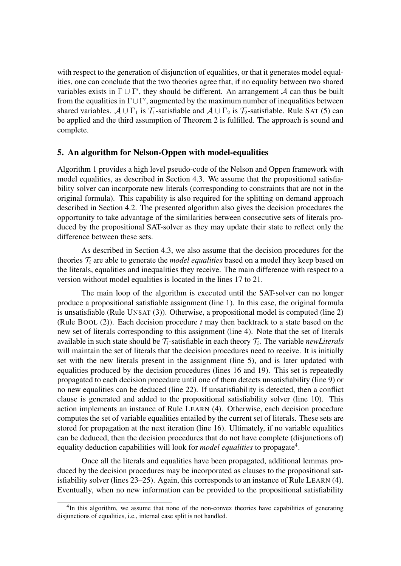with respect to the generation of disjunction of equalities, or that it generates model equalities, one can conclude that the two theories agree that, if no equality between two shared variables exists in  $\Gamma \cup \Gamma'$ , they should be different. An arrangement *A* can thus be built from the equalities in  $\Gamma \cup \Gamma'$ , augmented by the maximum number of inequalities between shared variables.  $A \cup \Gamma_1$  is  $\mathcal{T}_1$ -satisfiable and  $A \cup \Gamma_2$  is  $\mathcal{T}_2$ -satisfiable. Rule SAT (5) can be applied and the third assumption of Theorem 2 is fulfilled. The approach is sound and complete.

## 5. An algorithm for Nelson-Oppen with model-equalities

Algorithm 1 provides a high level pseudo-code of the Nelson and Oppen framework with model equalities, as described in Section 4.3. We assume that the propositional satisfiability solver can incorporate new literals (corresponding to constraints that are not in the original formula). This capability is also required for the splitting on demand approach described in Section 4.2. The presented algorithm also gives the decision procedures the opportunity to take advantage of the similarities between consecutive sets of literals produced by the propositional SAT-solver as they may update their state to reflect only the difference between these sets.

As described in Section 4.3, we also assume that the decision procedures for the theories  $\mathcal{T}_i$  are able to generate the *model equalities* based on a model they keep based on the literals, equalities and inequalities they receive. The main difference with respect to a version without model equalities is located in the lines 17 to 21.

The main loop of the algorithm is executed until the SAT-solver can no longer produce a propositional satisfiable assignment (line 1). In this case, the original formula is unsatisfiable (Rule UNSAT (3)). Otherwise, a propositional model is computed (line 2) (Rule BOOL (2)). Each decision procedure *t* may then backtrack to a state based on the new set of literals corresponding to this assignment (line 4). Note that the set of literals available in such state should be *Ti*-satisfiable in each theory *T<sup>i</sup>* . The variable *newLiterals* will maintain the set of literals that the decision procedures need to receive. It is initially set with the new literals present in the assignment (line 5), and is later updated with equalities produced by the decision procedures (lines 16 and 19). This set is repeatedly propagated to each decision procedure until one of them detects unsatisfiability (line 9) or no new equalities can be deduced (line 22). If unsatisfiability is detected, then a conflict clause is generated and added to the propositional satisfiability solver (line 10). This action implements an instance of Rule LEARN (4). Otherwise, each decision procedure computes the set of variable equalities entailed by the current set of literals. These sets are stored for propagation at the next iteration (line 16). Ultimately, if no variable equalities can be deduced, then the decision procedures that do not have complete (disjunctions of) equality deduction capabilities will look for *model equalities* to propagate<sup>4</sup>.

Once all the literals and equalities have been propagated, additional lemmas produced by the decision procedures may be incorporated as clauses to the propositional satisfiability solver (lines 23–25). Again, this corresponds to an instance of Rule LEARN (4). Eventually, when no new information can be provided to the propositional satisfiability

<sup>&</sup>lt;sup>4</sup>In this algorithm, we assume that none of the non-convex theories have capabilities of generating disjunctions of equalities, i.e., internal case split is not handled.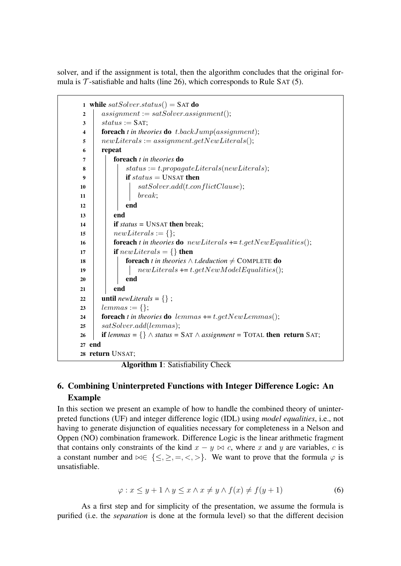solver, and if the assignment is total, then the algorithm concludes that the original formula is  $\mathcal T$ -satisfiable and halts (line 26), which corresponds to Rule SAT (5).

|                         | 1 while satSolver.status() = SAT do                                                              |  |  |  |
|-------------------------|--------------------------------------------------------------------------------------------------|--|--|--|
| $\overline{2}$          | $assignment := satSolver. assignment();$                                                         |  |  |  |
| 3                       | $status := SAT;$                                                                                 |  |  |  |
| $\overline{\mathbf{4}}$ | <b>foreach</b> t in theories <b>do</b> t.back $Jump(assignment)$ ;                               |  |  |  |
| 5                       | $new Literals := assignment.getNew Literals();$                                                  |  |  |  |
| 6                       | repeat                                                                                           |  |  |  |
| 7                       | <b>foreach</b> t in theories <b>do</b>                                                           |  |  |  |
| 8                       | $status := t.popagate Literals(new Literals);$                                                   |  |  |  |
| 9                       | if $status =$ UNSAT then                                                                         |  |  |  |
| 10                      | satSolver.add(t.configdictClause);                                                               |  |  |  |
| 11                      | break;                                                                                           |  |  |  |
| 12                      | end                                                                                              |  |  |  |
| 13                      | end                                                                                              |  |  |  |
| 14                      | <b>if</b> status = UNSAT then break;                                                             |  |  |  |
| 15                      | $new Literals := \{\};$                                                                          |  |  |  |
| 16                      | <b>foreach</b> t in theories <b>do</b> new Literals $+= t.getNewEqualities($ ;                   |  |  |  |
| 17                      | <b>if</b> new Literals = $\{\}$ then                                                             |  |  |  |
| 18                      | <b>foreach</b> t in theories $\wedge$ t.deduction $\neq$ COMPLETE <b>do</b>                      |  |  |  |
| 19                      | $new Literals += t.getNewModel Equalities();$                                                    |  |  |  |
| 20                      | end                                                                                              |  |  |  |
| 21                      | end                                                                                              |  |  |  |
| 22                      | <b>until</b> newLiterals = {};                                                                   |  |  |  |
| 23                      | $lemmas := \{\};$                                                                                |  |  |  |
| 24                      | <b>foreach</b> t in theories <b>do</b> lemmas $+= t.getNewLemmas$ ;                              |  |  |  |
| 25                      | satSolver.add(lemmas);                                                                           |  |  |  |
| 26                      | <b>if</b> lemmas = $\{\}\wedge$ status = SAT $\wedge$ assignment = TOTAL <b>then return</b> SAT; |  |  |  |
| 27 end                  |                                                                                                  |  |  |  |
| 28 return UNSAT;        |                                                                                                  |  |  |  |
|                         |                                                                                                  |  |  |  |

Algorithm 1: Satisfiability Check

## 6. Combining Uninterpreted Functions with Integer Difference Logic: An Example

In this section we present an example of how to handle the combined theory of uninterpreted functions (UF) and integer difference logic (IDL) using *model equalities*, i.e., not having to generate disjunction of equalities necessary for completeness in a Nelson and Oppen (NO) combination framework. Difference Logic is the linear arithmetic fragment that contains only constraints of the kind  $x - y \bowtie c$ , where *x* and *y* are variables, *c* is a constant number and  $\bowtie \in \{ \leq, \geq, =, <, > \}$ . We want to prove that the formula  $\varphi$  is unsatisfiable.

$$
\varphi: x \le y + 1 \land y \le x \land x \ne y \land f(x) \ne f(y + 1)
$$
\n
$$
(6)
$$

As a first step and for simplicity of the presentation, we assume the formula is purified (i.e. the *separation* is done at the formula level) so that the different decision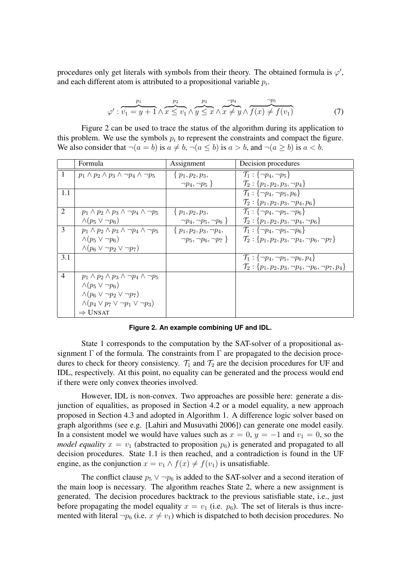procedures only get literals with symbols from their theory. The obtained formula is  $\varphi'$ , and each different atom is attributed to a propositional variable *p<sup>i</sup>* .

$$
\varphi': \overbrace{v_1 = y + 1}^{p_1} \wedge \overbrace{x \leq v_1}^{p_2} \wedge \overbrace{y \leq x}^{p_3} \wedge \overbrace{x \neq y}^{p_4} \wedge \overbrace{f(x) \neq f(v_1)}^{p_5} \tag{7}
$$

Figure 2 can be used to trace the status of the algorithm during its application to this problem. We use the symbols  $p_i$  to represent the constraints and compact the figure. We also consider that  $\neg(a = b)$  is  $a \neq b$ ,  $\neg(a \leq b)$  is  $a > b$ , and  $\neg(a > b)$  is  $a < b$ .

|                | Formula                                                     | Assignment                     | Decision procedures                                                      |
|----------------|-------------------------------------------------------------|--------------------------------|--------------------------------------------------------------------------|
|                |                                                             |                                |                                                                          |
| $\overline{1}$ | $p_1 \wedge p_2 \wedge p_3 \wedge \neg p_4 \wedge \neg p_5$ | $\{p_1, p_2, p_3,$             | $\mathcal{T}_1 : \{\neg p_4, \neg p_5\}$                                 |
|                |                                                             | $\neg p_4, \neg p_5$ }         | $\mathcal{T}_2$ : { $p_1, p_2, p_3, \neg p_4$ }                          |
| 1.1            |                                                             |                                | $\mathcal{T}_1 : \{\neg p_4, \neg p_5, p_6\}$                            |
|                |                                                             |                                | $\mathcal{T}_2$ : { $p_1, p_2, p_3, \neg p_4, p_6$ }                     |
| 2              | $p_1 \wedge p_2 \wedge p_3 \wedge \neg p_4 \wedge \neg p_5$ | $\{p_1, p_2, p_3,$             | $\mathcal{T}_1 : \{\neg p_4, \neg p_5, \neg p_6\}$                       |
|                | $\wedge (p_5 \vee \neg p_6)$                                | $\neg p_4, \neg p_5, \neg p_6$ | $\mathcal{T}_2$ : { $p_1, p_2, p_3, \neg p_4, \neg p_6$ }                |
| 3              | $p_1 \wedge p_2 \wedge p_3 \wedge \neg p_4 \wedge \neg p_5$ | $\{p_1, p_2, p_3, \neg p_4,$   | $\mathcal{T}_1 : \{\neg p_4, \neg p_5, \neg p_6\}$                       |
|                | $\wedge (p_5 \vee \neg p_6)$                                | $\neg p_5, \neg p_6, \neg p_7$ | $\mathcal{T}_2$ : { $p_1, p_2, p_3, \neg p_4, \neg p_6, \neg p_7$ }      |
|                | $\wedge (p_6 \vee \neg p_2 \vee \neg p_7)$                  |                                |                                                                          |
| 3.1            |                                                             |                                | $\mathcal{T}_1 : \{\neg p_4, \neg p_5, \neg p_6, p_4\}$                  |
|                |                                                             |                                | $\mathcal{T}_2$ : { $p_1, p_2, p_3, \neg p_4, \neg p_6, \neg p_7, p_4$ } |
| $\overline{4}$ | $p_1 \wedge p_2 \wedge p_3 \wedge \neg p_4 \wedge \neg p_5$ |                                |                                                                          |
|                | $\wedge (p_5 \vee \neg p_6)$                                |                                |                                                                          |
|                | $\wedge (p_6 \vee \neg p_2 \vee \neg p_7)$                  |                                |                                                                          |
|                | $\wedge (p_4 \vee p_7 \vee \neg p_1 \vee \neg p_3)$         |                                |                                                                          |
|                | $\Rightarrow$ UNSAT                                         |                                |                                                                          |

#### **Figure 2. An example combining UF and IDL.**

State 1 corresponds to the computation by the SAT-solver of a propositional assignment  $\Gamma$  of the formula. The constraints from  $\Gamma$  are propagated to the decision procedures to check for theory consistency.  $\mathcal{T}_1$  and  $\mathcal{T}_2$  are the decision procedures for UF and IDL, respectively. At this point, no equality can be generated and the process would end if there were only convex theories involved.

However, IDL is non-convex. Two approaches are possible here: generate a disjunction of equalities, as proposed in Section 4.2 or a model equality, a new approach proposed in Section 4.3 and adopted in Algorithm 1. A difference logic solver based on graph algorithms (see e.g. [Lahiri and Musuvathi 2006]) can generate one model easily. In a consistent model we would have values such as  $x = 0$ ,  $y = -1$  and  $v_1 = 0$ , so the *model equality*  $x = v_1$  (abstracted to proposition  $p_6$ ) is generated and propagated to all decision procedures. State 1.1 is then reached, and a contradiction is found in the UF engine, as the conjunction  $x = v_1 \wedge f(x) \neq f(v_1)$  is unsatisfiable.

The conflict clause  $p_5 \vee \neg p_6$  is added to the SAT-solver and a second iteration of the main loop is necessary. The algorithm reaches State 2, where a new assignment is generated. The decision procedures backtrack to the previous satisfiable state, i.e., just before propagating the model equality  $x = v_1$  (i.e.  $p_6$ ). The set of literals is thus incremented with literal  $\neg p_6$  (i.e.  $x \neq v_1$ ) which is dispatched to both decision procedures. No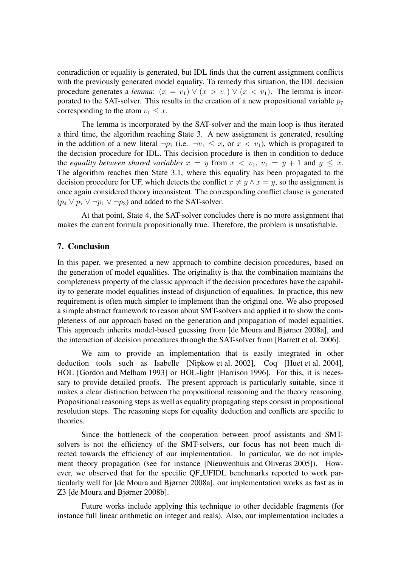contradiction or equality is generated, but IDL finds that the current assignment conflicts with the previously generated model equality. To remedy this situation, the IDL decision procedure generates a *lemma*:  $(x = v_1) \vee (x > v_1) \vee (x < v_1)$ . The lemma is incorporated to the SAT-solver. This results in the creation of a new propositional variable  $p_7$ corresponding to the atom  $v_1 \leq x$ .

The lemma is incorporated by the SAT-solver and the main loop is thus iterated a third time, the algorithm reaching State 3. A new assignment is generated, resulting in the addition of a new literal  $\neg p_7$  (i.e.  $\neg v_1 \leq x$ , or  $x \leq v_1$ ), which is propagated to the decision procedure for IDL. This decision procedure is then in condition to deduce the *equality between shared variables*  $x = y$  from  $x < v_1$ ,  $v_1 = y + 1$  and  $y \leq x$ . The algorithm reaches then State 3.1, where this equality has been propagated to the decision procedure for UF, which detects the conflict  $x \neq y \land x = y$ , so the assignment is once again considered theory inconsistent. The corresponding conflict clause is generated  $(p_4 \lor p_7 \lor \neg p_1 \lor \neg p_3)$  and added to the SAT-solver.

At that point, State 4, the SAT-solver concludes there is no more assignment that makes the current formula propositionally true. Therefore, the problem is unsatisfiable.

## 7. Conclusion

In this paper, we presented a new approach to combine decision procedures, based on the generation of model equalities. The originality is that the combination maintains the completeness property of the classic approach if the decision procedures have the capability to generate model equalities instead of disjunction of equalities. In practice, this new requirement is often much simpler to implement than the original one. We also proposed a simple abstract framework to reason about SMT-solvers and applied it to show the completeness of our approach based on the generation and propagation of model equalities. This approach inherits model-based guessing from [de Moura and Bjørner 2008a], and the interaction of decision procedures through the SAT-solver from [Barrett et al. 2006].

We aim to provide an implementation that is easily integrated in other deduction tools such as Isabelle [Nipkow et al. 2002], Coq [Huet et al. 2004], HOL [Gordon and Melham 1993] or HOL-light [Harrison 1996]. For this, it is necessary to provide detailed proofs. The present approach is particularly suitable, since it makes a clear distinction between the propositional reasoning and the theory reasoning. Propositional reasoning steps as well as equality propagating steps consist in propositional resolution steps. The reasoning steps for equality deduction and conflicts are specific to theories.

Since the bottleneck of the cooperation between proof assistants and SMTsolvers is not the efficiency of the SMT-solvers, our focus has not been much directed towards the efficiency of our implementation. In particular, we do not implement theory propagation (see for instance [Nieuwenhuis and Oliveras 2005]). However, we observed that for the specific QF UFIDL benchmarks reported to work particularly well for [de Moura and Bjørner 2008a], our implementation works as fast as in Z3 [de Moura and Bjørner 2008b].

Future works include applying this technique to other decidable fragments (for instance full linear arithmetic on integer and reals). Also, our implementation includes a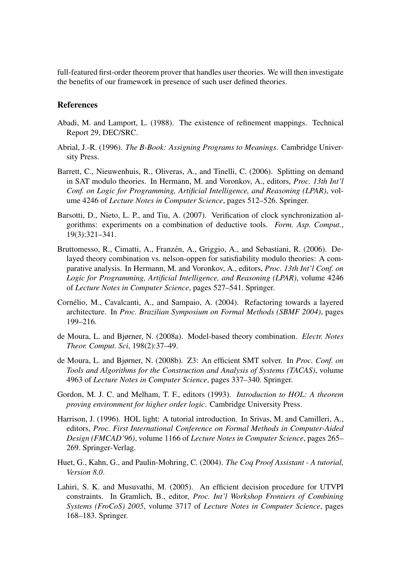full-featured first-order theorem prover that handles user theories. We will then investigate the benefits of our framework in presence of such user defined theories.

#### References

- Abadi, M. and Lamport, L. (1988). The existence of refinement mappings. Technical Report 29, DEC/SRC.
- Abrial, J.-R. (1996). *The B-Book: Assigning Programs to Meanings*. Cambridge University Press.
- Barrett, C., Nieuwenhuis, R., Oliveras, A., and Tinelli, C. (2006). Splitting on demand in SAT modulo theories. In Hermann, M. and Voronkov, A., editors, *Proc. 13th Int'l Conf. on Logic for Programming, Artificial Intelligence, and Reasoning (LPAR)*, volume 4246 of *Lecture Notes in Computer Science*, pages 512–526. Springer.
- Barsotti, D., Nieto, L. P., and Tiu, A. (2007). Verification of clock synchronization algorithms: experiments on a combination of deductive tools. *Form. Asp. Comput.*, 19(3):321–341.
- Bruttomesso, R., Cimatti, A., Franzén, A., Griggio, A., and Sebastiani, R. (2006). Delayed theory combination vs. nelson-oppen for satisfiability modulo theories: A comparative analysis. In Hermann, M. and Voronkov, A., editors, *Proc. 13th Int'l Conf. on Logic for Programming, Artificial Intelligence, and Reasoning (LPAR)*, volume 4246 of *Lecture Notes in Computer Science*, pages 527–541. Springer.
- Cornélio, M., Cavalcanti, A., and Sampaio, A. (2004). Refactoring towards a layered architecture. In *Proc. Brazilian Symposium on Formal Methods (SBMF 2004)*, pages 199–216.
- de Moura, L. and Bjørner, N. (2008a). Model-based theory combination. *Electr. Notes Theor. Comput. Sci*, 198(2):37–49.
- de Moura, L. and Bjørner, N. (2008b). Z3: An efficient SMT solver. In *Proc. Conf. on Tools and Algorithms for the Construction and Analysis of Systems (TACAS)*, volume 4963 of *Lecture Notes in Computer Science*, pages 337–340. Springer.
- Gordon, M. J. C. and Melham, T. F., editors (1993). *Introduction to HOL: A theorem proving environment for higher order logic*. Cambridge University Press.
- Harrison, J. (1996). HOL light: A tutorial introduction. In Srivas, M. and Camilleri, A., editors, *Proc. First International Conference on Formal Methods in Computer-Aided Design (FMCAD'96)*, volume 1166 of *Lecture Notes in Computer Science*, pages 265– 269. Springer-Verlag.
- Huet, G., Kahn, G., and Paulin-Mohring, C. (2004). *The Coq Proof Assistant A tutorial, Version 8.0*.
- Lahiri, S. K. and Musuvathi, M. (2005). An efficient decision procedure for UTVPI constraints. In Gramlich, B., editor, *Proc. Int'l Workshop Frontiers of Combining Systems (FroCoS) 2005*, volume 3717 of *Lecture Notes in Computer Science*, pages 168–183. Springer.